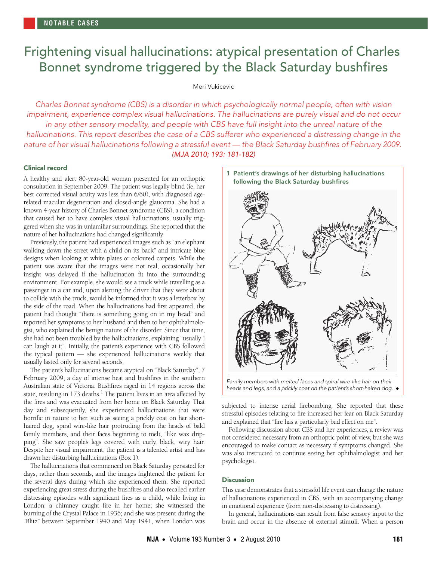# <span id="page-0-0"></span>Frightening visual hallucinations: atypical presentation of Charles Bonnet syndrome triggered by the Black Saturday bushfires

## Meri Vukicevic

Charles Bonnet syndrome (CBS) is a disorder in which psychologically normal people, often with vision impairment, experience complex visual hallucinations. The hallucinations are purely visual and do not occur in any other sensory modality, and people with CBS have full insight into the unreal nature of the hallucinations. This report describes the case of a CBS sufferer who experienced a distressing change in the nature of her visual hallucinations following a stressful event — the Black Saturday bushfires of February 2009. (MJA 2010; 193: 181-182)

## Clinical record

nature of her hallucinations had changed significantly. A healthy and alert 80-year-old woman presented for an orthoptic consultation in September 2009. The patient was legally blind (ie, her best corrected visual acuity was less than 6/60), with diagnosed agerelated macular degeneration and closed-angle glaucoma. She had a known 4-year history of Charles Bonnet syndrome (CBS), a condition that caused her to have complex visual hallucinations, usually triggered when she was in unfamiliar surroundings. She reported that the

Previously, the patient had exp[erien](#page-0-0)[ced](#page-1-1) images such as "an elephant" walking down the street with a child on its back" and intricate blue designs when looking at white plates or coloured carpets. While the patient was aware that the images were not real, occasionally her insight was delayed if the hallucination fit into the surrounding environment. For example, she would see a truck while travelling as a passenger in a car and, upon alerting the driver that they were about to collide with the truck, would be informed that it was a letterbox by the side of the road. When the hallucinations had first appeared, the patient had thought "there is something going on in my head" and reported her symptoms to her husband and then to her ophthalmologist, who explained the benign nature of the disorder. Since that time, she had not been troubled by the hallucinations, explaining "usually I can laugh at it". Initially, the patient's experience with CBS followed the typical pattern — she experienced hallucinations weekly that usually lasted only for several seconds.

The patient's hallucinations became atypical on "Black Saturday", 7 February 2009, a day of intense heat and bushfires in the southern Australian state of Victoria. Bushfires raged in 14 regions across the state, resulting in [1](#page-1-0)73 deaths.<sup>1</sup> The patient lives in an area affected by the fires and was evacuated from her home on Black Saturday. That day and subsequently, she experienced hallucinations that were horrific in nature to her, such as seeing a prickly coat on her shorthaired dog, spiral wire-like hair protruding from the heads of bald family members, and their faces beginning to melt, "like wax dripping". She saw people's legs covered with curly, black, wiry hair. Despite her visual impairment, the patient is a talented artist and has drawn her disturbing hallucinations (Box 1).

The hallucinations that commenced on Black Saturday persisted for days, rather than seconds, and the images frightened the patient for the several days during which she experienced them. She reported experiencing great stress during the bushfires and also recalled earlier distressing episodes with significant fires as a child, while living in London: a chimney caught fire in her home; she witnessed the burning of the Crystal Palace in 1936; and she was present during the "Blitz" between September 1940 and May 1941, when London was



Family members with melted faces and spiral wire-like hair on their heads and legs, and a prickly coat on the patient's short-haired dog. ◆

subjected to intense aerial firebombing. She reported that these stressful episodes relating to fire increased her fear on Black Saturday and explained that "fire has a particularly bad effect on me".

Following discussion about CBS and her experiences, a review was not considered necessary from an orthoptic point of view, but she was encouraged to make contact as necessary if symptoms changed. She was also instructed to continue seeing her ophthalmologist and her psychologist.

### **Discussion**

This case demonstrates that a stressful life event can change the nature of hallucinations experienced in CBS, with an accompanying change in emotional experience (from non-distressing to distressing).

In general, hallucinations can result from false sensory input to the brain and occur in the absence of external stimuli. When a person